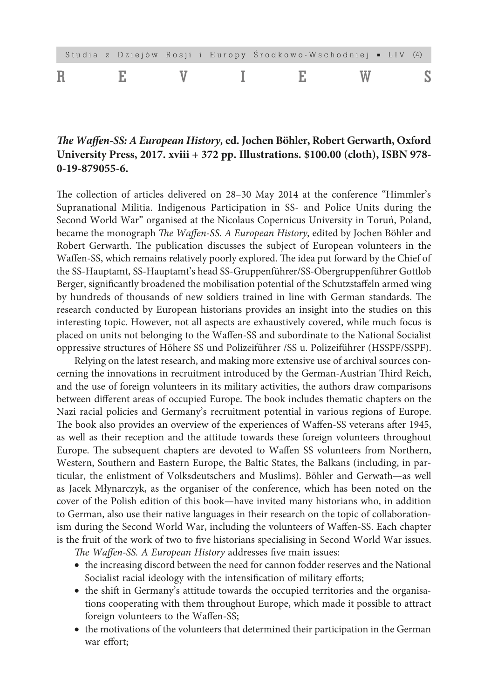|  |  |  |  | Studia z Dziejów Rosji i Europy Środkowo-Wschodniej • LIV (4) |  |  |
|--|--|--|--|---------------------------------------------------------------|--|--|
|  |  |  |  |                                                               |  |  |

## *The Waffen-SS: A European History,* **ed. Jochen Böhler, Robert Gerwarth, Oxford University Press, 2017. xviii + 372 pp. Illustrations. \$100.00 (cloth), ISBN 978- 0-19-879055-6.**

The collection of articles delivered on 28–30 May 2014 at the conference "Himmler's Supranational Militia. Indigenous Participation in SS- and Police Units during the Second World War" organised at the Nicolaus Copernicus University in Toruń, Poland, became the monograph *The Waffen-SS. A European History*, edited by Jochen Böhler and Robert Gerwarth. The publication discusses the subject of European volunteers in the Waffen-SS, which remains relatively poorly explored. The idea put forward by the Chief of the SS-Hauptamt, SS-Hauptamt's head SS-Gruppenführer/SS-Obergruppenführer Gottlob Berger, significantly broadened the mobilisation potential of the Schutzstaffeln armed wing by hundreds of thousands of new soldiers trained in line with German standards. The research conducted by European historians provides an insight into the studies on this interesting topic. However, not all aspects are exhaustively covered, while much focus is placed on units not belonging to the Waffen-SS and subordinate to the National Socialist oppressive structures of Höhere SS und Polizeiführer /SS u. Polizeiführer (HSSPF/SSPF).

Relying on the latest research, and making more extensive use of archival sources concerning the innovations in recruitment introduced by the German-Austrian Third Reich, and the use of foreign volunteers in its military activities, the authors draw comparisons between different areas of occupied Europe. The book includes thematic chapters on the Nazi racial policies and Germany's recruitment potential in various regions of Europe. The book also provides an overview of the experiences of Waffen-SS veterans after 1945, as well as their reception and the attitude towards these foreign volunteers throughout Europe. The subsequent chapters are devoted to Waffen SS volunteers from Northern, Western, Southern and Eastern Europe, the Baltic States, the Balkans (including, in particular, the enlistment of Volksdeutschers and Muslims). Böhler and Gerwath—as well as Jacek Młynarczyk, as the organiser of the conference, which has been noted on the cover of the Polish edition of this book—have invited many historians who, in addition to German, also use their native languages in their research on the topic of collaborationism during the Second World War, including the volunteers of Waffen-SS. Each chapter is the fruit of the work of two to five historians specialising in Second World War issues.

*The Waffen-SS. A European History* addresses five main issues:

- the increasing discord between the need for cannon fodder reserves and the National Socialist racial ideology with the intensification of military efforts;
- the shift in Germany's attitude towards the occupied territories and the organisations cooperating with them throughout Europe, which made it possible to attract foreign volunteers to the Waffen-SS;
- the motivations of the volunteers that determined their participation in the German war effort;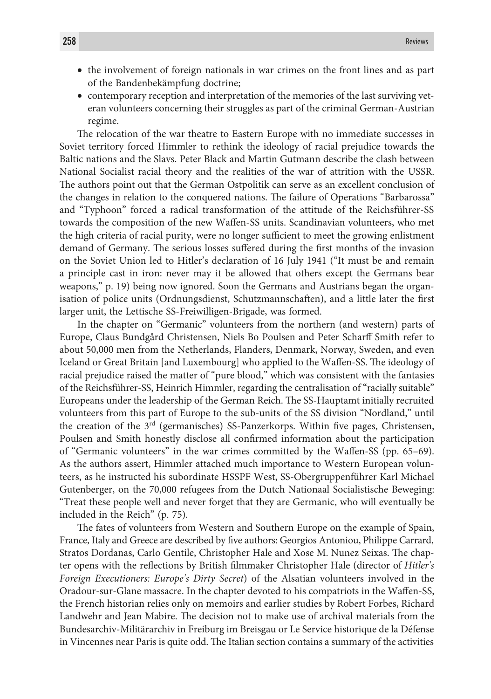- the involvement of foreign nationals in war crimes on the front lines and as part of the Bandenbekämpfung doctrine;
- contemporary reception and interpretation of the memories of the last surviving veteran volunteers concerning their struggles as part of the criminal German-Austrian regime.

The relocation of the war theatre to Eastern Europe with no immediate successes in Soviet territory forced Himmler to rethink the ideology of racial prejudice towards the Baltic nations and the Slavs. Peter Black and Martin Gutmann describe the clash between National Socialist racial theory and the realities of the war of attrition with the USSR. The authors point out that the German Ostpolitik can serve as an excellent conclusion of the changes in relation to the conquered nations. The failure of Operations "Barbarossa" and "Typhoon" forced a radical transformation of the attitude of the Reichsführer-SS towards the composition of the new Waffen-SS units. Scandinavian volunteers, who met the high criteria of racial purity, were no longer sufficient to meet the growing enlistment demand of Germany. The serious losses suffered during the first months of the invasion on the Soviet Union led to Hitler's declaration of 16 July 1941 ("It must be and remain a principle cast in iron: never may it be allowed that others except the Germans bear weapons," p. 19) being now ignored. Soon the Germans and Austrians began the organisation of police units (Ordnungsdienst, Schutzmannschaften), and a little later the first larger unit, the Lettische SS-Freiwilligen-Brigade, was formed.

In the chapter on "Germanic" volunteers from the northern (and western) parts of Europe, Claus Bundgård Christensen, Niels Bo Poulsen and Peter Scharff Smith refer to about 50,000 men from the Netherlands, Flanders, Denmark, Norway, Sweden, and even Iceland or Great Britain [and Luxembourg] who applied to the Waffen-SS. The ideology of racial prejudice raised the matter of "pure blood," which was consistent with the fantasies of the Reichsführer-SS, Heinrich Himmler, regarding the centralisation of "racially suitable" Europeans under the leadership of the German Reich. The SS-Hauptamt initially recruited volunteers from this part of Europe to the sub-units of the SS division "Nordland," until the creation of the 3rd (germanisches) SS-Panzerkorps. Within five pages, Christensen, Poulsen and Smith honestly disclose all confirmed information about the participation of "Germanic volunteers" in the war crimes committed by the Waffen-SS (pp. 65–69). As the authors assert, Himmler attached much importance to Western European volunteers, as he instructed his subordinate HSSPF West, SS-Obergruppenführer Karl Michael Gutenberger, on the 70,000 refugees from the Dutch Nationaal Socialistische Beweging: "Treat these people well and never forget that they are Germanic, who will eventually be included in the Reich" (p. 75).

The fates of volunteers from Western and Southern Europe on the example of Spain, France, Italy and Greece are described by five authors: Georgios Antoniou, Philippe Carrard, Stratos Dordanas, Carlo Gentile, Christopher Hale and Xose M. Nunez Seixas. The chapter opens with the reflections by British filmmaker Christopher Hale (director of *Hitler's Foreign Executioners: Europe's Dirty Secret*) of the Alsatian volunteers involved in the Oradour-sur-Glane massacre. In the chapter devoted to his compatriots in the Waffen-SS, the French historian relies only on memoirs and earlier studies by Robert Forbes, Richard Landwehr and Jean Mabire. The decision not to make use of archival materials from the Bundesarchiv-Militärarchiv in Freiburg im Breisgau or Le Service historique de la Défense in Vincennes near Paris is quite odd. The Italian section contains a summary of the activities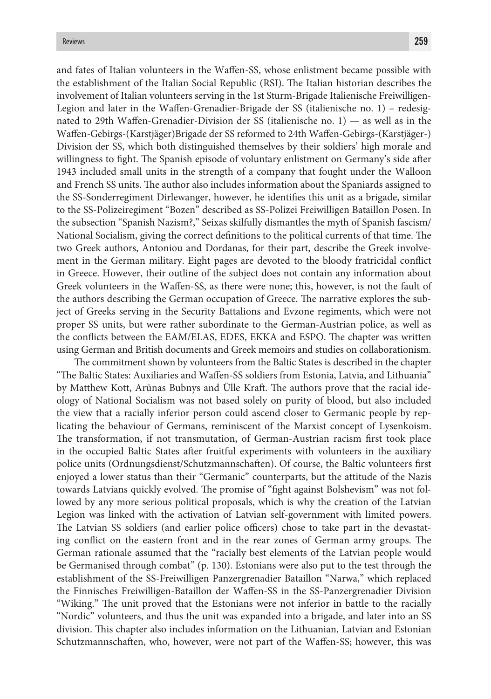and fates of Italian volunteers in the Waffen-SS, whose enlistment became possible with the establishment of the Italian Social Republic (RSI). The Italian historian describes the involvement of Italian volunteers serving in the 1st Sturm-Brigade Italienische Freiwilligen-Legion and later in the Waffen-Grenadier-Brigade der SS (italienische no. 1) – redesignated to 29th Waffen-Grenadier-Division der SS (italienische no. 1) — as well as in the Waffen-Gebirgs-(Karstjäger)Brigade der SS reformed to 24th Waffen-Gebirgs-(Karstjäger-) Division der SS, which both distinguished themselves by their soldiers' high morale and willingness to fight. The Spanish episode of voluntary enlistment on Germany's side after 1943 included small units in the strength of a company that fought under the Walloon and French SS units. The author also includes information about the Spaniards assigned to the SS-Sonderregiment Dirlewanger, however, he identifies this unit as a brigade, similar to the SS-Polizeiregiment "Bozen" described as SS-Polizei Freiwilligen Bataillon Posen. In the subsection "Spanish Nazism?," Seixas skilfully dismantles the myth of Spanish fascism/ National Socialism, giving the correct definitions to the political currents of that time. The two Greek authors, Antoniou and Dordanas, for their part, describe the Greek involvement in the German military. Eight pages are devoted to the bloody fratricidal conflict in Greece. However, their outline of the subject does not contain any information about Greek volunteers in the Waffen-SS, as there were none; this, however, is not the fault of the authors describing the German occupation of Greece. The narrative explores the subject of Greeks serving in the Security Battalions and Evzone regiments, which were not proper SS units, but were rather subordinate to the German-Austrian police, as well as the conflicts between the EAM/ELAS, EDES, EKKA and ESPO. The chapter was written using German and British documents and Greek memoirs and studies on collaborationism.

The commitment shown by volunteers from the Baltic States is described in the chapter "The Baltic States: Auxiliaries and Waffen-SS soldiers from Estonia, Latvia, and Lithuania" by Matthew Kott, Arūnas Bubnys and Ülle Kraft. The authors prove that the racial ideology of National Socialism was not based solely on purity of blood, but also included the view that a racially inferior person could ascend closer to Germanic people by replicating the behaviour of Germans, reminiscent of the Marxist concept of Lysenkoism. The transformation, if not transmutation, of German-Austrian racism first took place in the occupied Baltic States after fruitful experiments with volunteers in the auxiliary police units (Ordnungsdienst/Schutzmannschaften). Of course, the Baltic volunteers first enjoyed a lower status than their "Germanic" counterparts, but the attitude of the Nazis towards Latvians quickly evolved. The promise of "fight against Bolshevism" was not followed by any more serious political proposals, which is why the creation of the Latvian Legion was linked with the activation of Latvian self-government with limited powers. The Latvian SS soldiers (and earlier police officers) chose to take part in the devastating conflict on the eastern front and in the rear zones of German army groups. The German rationale assumed that the "racially best elements of the Latvian people would be Germanised through combat" (p. 130). Estonians were also put to the test through the establishment of the SS-Freiwilligen Panzergrenadier Bataillon "Narwa," which replaced the Finnisches Freiwilligen-Bataillon der Waffen-SS in the SS-Panzergrenadier Division "Wiking." The unit proved that the Estonians were not inferior in battle to the racially "Nordic" volunteers, and thus the unit was expanded into a brigade, and later into an SS division. This chapter also includes information on the Lithuanian, Latvian and Estonian Schutzmannschaften, who, however, were not part of the Waffen-SS; however, this was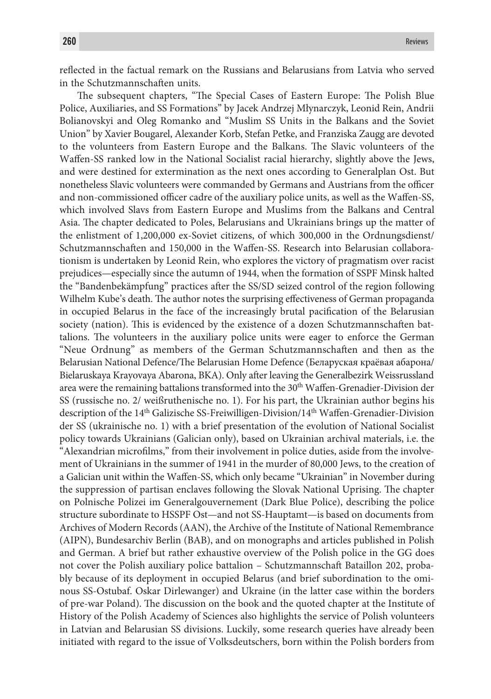reflected in the factual remark on the Russians and Belarusians from Latvia who served in the Schutzmannschaften units.

The subsequent chapters, "The Special Cases of Eastern Europe: The Polish Blue Police, Auxiliaries, and SS Formations" by Jacek Andrzej Młynarczyk, Leonid Rein, Andrii Bolianovskyi and Oleg Romanko and "Muslim SS Units in the Balkans and the Soviet Union" by Xavier Bougarel, Alexander Korb, Stefan Petke, and Franziska Zaugg are devoted to the volunteers from Eastern Europe and the Balkans. The Slavic volunteers of the Waffen-SS ranked low in the National Socialist racial hierarchy, slightly above the Jews, and were destined for extermination as the next ones according to Generalplan Ost. But nonetheless Slavic volunteers were commanded by Germans and Austrians from the officer and non-commissioned officer cadre of the auxiliary police units, as well as the Waffen-SS, which involved Slavs from Eastern Europe and Muslims from the Balkans and Central Asia. The chapter dedicated to Poles, Belarusians and Ukrainians brings up the matter of the enlistment of 1,200,000 ex-Soviet citizens, of which 300,000 in the Ordnungsdienst/ Schutzmannschaften and 150,000 in the Waffen-SS. Research into Belarusian collaborationism is undertaken by Leonid Rein, who explores the victory of pragmatism over racist prejudices—especially since the autumn of 1944, when the formation of SSPF Minsk halted the "Bandenbekämpfung" practices after the SS/SD seized control of the region following Wilhelm Kube's death. The author notes the surprising effectiveness of German propaganda in occupied Belarus in the face of the increasingly brutal pacification of the Belarusian society (nation). This is evidenced by the existence of a dozen Schutzmannschaften battalions. The volunteers in the auxiliary police units were eager to enforce the German "Neue Ordnung" as members of the German Schutzmannschaften and then as the Belarusian National Defence/The Belarusian Home Defence (Беларуская краёвая абарона/ Bielaruskaya Krayovaya Abarona, BKA). Only after leaving the Generalbezirk Weissrussland area were the remaining battalions transformed into the 30th Waffen-Grenadier-Division der SS (russische no. 2/ weißruthenische no. 1). For his part, the Ukrainian author begins his description of the 14th Galizische SS-Freiwilligen-Division/14th Waffen-Grenadier-Division der SS (ukrainische no. 1) with a brief presentation of the evolution of National Socialist policy towards Ukrainians (Galician only), based on Ukrainian archival materials, i.e. the "Alexandrian microfilms," from their involvement in police duties, aside from the involvement of Ukrainians in the summer of 1941 in the murder of 80,000 Jews, to the creation of a Galician unit within the Waffen-SS, which only became "Ukrainian" in November during the suppression of partisan enclaves following the Slovak National Uprising. The chapter on Polnische Polizei im Generalgouvernement (Dark Blue Police), describing the police structure subordinate to HSSPF Ost—and not SS-Hauptamt—is based on documents from Archives of Modern Records (AAN), the Archive of the Institute of National Remembrance (AIPN), Bundesarchiv Berlin (BAB), and on monographs and articles published in Polish and German. A brief but rather exhaustive overview of the Polish police in the GG does not cover the Polish auxiliary police battalion – Schutzmannschaft Bataillon 202, probably because of its deployment in occupied Belarus (and brief subordination to the ominous SS-Ostubaf. Oskar Dirlewanger) and Ukraine (in the latter case within the borders of pre-war Poland). The discussion on the book and the quoted chapter at the Institute of History of the Polish Academy of Sciences also highlights the service of Polish volunteers in Latvian and Belarusian SS divisions. Luckily, some research queries have already been initiated with regard to the issue of Volksdeutschers, born within the Polish borders from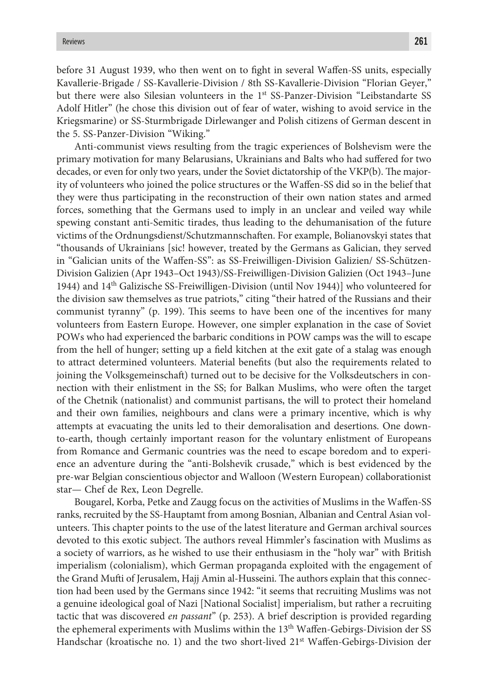before 31 August 1939, who then went on to fight in several Waffen-SS units, especially Kavallerie-Brigade / SS-Kavallerie-Division / 8th SS-Kavallerie-Division "Florian Geyer," but there were also Silesian volunteers in the 1<sup>st</sup> SS-Panzer-Division "Leibstandarte SS Adolf Hitler" (he chose this division out of fear of water, wishing to avoid service in the Kriegsmarine) or SS-Sturmbrigade Dirlewanger and Polish citizens of German descent in the 5. SS-Panzer-Division "Wiking."

Anti-communist views resulting from the tragic experiences of Bolshevism were the primary motivation for many Belarusians, Ukrainians and Balts who had suffered for two decades, or even for only two years, under the Soviet dictatorship of the VKP(b). The majority of volunteers who joined the police structures or the Waffen-SS did so in the belief that they were thus participating in the reconstruction of their own nation states and armed forces, something that the Germans used to imply in an unclear and veiled way while spewing constant anti-Semitic tirades, thus leading to the dehumanisation of the future victims of the Ordnungsdienst/Schutzmannschaften. For example, Bolianovskyi states that "thousands of Ukrainians [sic! however, treated by the Germans as Galician, they served in "Galician units of the Waffen-SS": as SS-Freiwilligen-Division Galizien/ SS-Schützen-Division Galizien (Apr 1943–Oct 1943)/SS-Freiwilligen-Division Galizien (Oct 1943–June 1944) and  $14<sup>th</sup>$  Galizische SS-Freiwilligen-Division (until Nov 1944)] who volunteered for the division saw themselves as true patriots," citing "their hatred of the Russians and their communist tyranny" (p. 199). This seems to have been one of the incentives for many volunteers from Eastern Europe. However, one simpler explanation in the case of Soviet POWs who had experienced the barbaric conditions in POW camps was the will to escape from the hell of hunger; setting up a field kitchen at the exit gate of a stalag was enough to attract determined volunteers. Material benefits (but also the requirements related to joining the Volksgemeinschaft) turned out to be decisive for the Volksdeutschers in connection with their enlistment in the SS; for Balkan Muslims, who were often the target of the Chetnik (nationalist) and communist partisans, the will to protect their homeland and their own families, neighbours and clans were a primary incentive, which is why attempts at evacuating the units led to their demoralisation and desertions. One downto-earth, though certainly important reason for the voluntary enlistment of Europeans from Romance and Germanic countries was the need to escape boredom and to experience an adventure during the "anti-Bolshevik crusade," which is best evidenced by the pre-war Belgian conscientious objector and Walloon (Western European) collaborationist star— Chef de Rex, Leon Degrelle.

Bougarel, Korba, Petke and Zaugg focus on the activities of Muslims in the Waffen-SS ranks, recruited by the SS-Hauptamt from among Bosnian, Albanian and Central Asian volunteers. This chapter points to the use of the latest literature and German archival sources devoted to this exotic subject. The authors reveal Himmler's fascination with Muslims as a society of warriors, as he wished to use their enthusiasm in the "holy war" with British imperialism (colonialism), which German propaganda exploited with the engagement of the Grand Mufti of Jerusalem, Hajj Amin al-Husseini. The authors explain that this connection had been used by the Germans since 1942: "it seems that recruiting Muslims was not a genuine ideological goal of Nazi [National Socialist] imperialism, but rather a recruiting tactic that was discovered *en passant*" (p. 253). A brief description is provided regarding the ephemeral experiments with Muslims within the 13<sup>th</sup> Waffen-Gebirgs-Division der SS Handschar (kroatische no. 1) and the two short-lived 21<sup>st</sup> Waffen-Gebirgs-Division der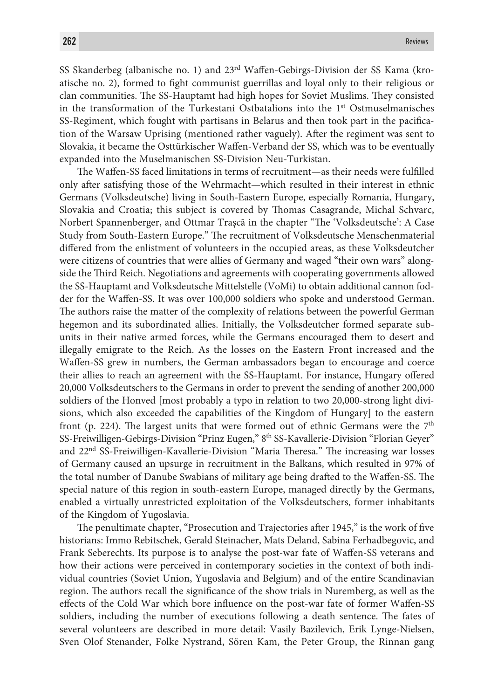SS Skanderbeg (albanische no. 1) and 23rd Waffen-Gebirgs-Division der SS Kama (kroatische no. 2), formed to fight communist guerrillas and loyal only to their religious or clan communities. The SS-Hauptamt had high hopes for Soviet Muslims. They consisted in the transformation of the Turkestani Ostbatalions into the  $1<sup>st</sup>$  Ostmuselmanisches SS-Regiment, which fought with partisans in Belarus and then took part in the pacification of the Warsaw Uprising (mentioned rather vaguely). After the regiment was sent to Slovakia, it became the Osttürkischer Waffen-Verband der SS, which was to be eventually expanded into the Muselmanischen SS-Division Neu-Turkistan.

The Waffen-SS faced limitations in terms of recruitment—as their needs were fulfilled only after satisfying those of the Wehrmacht—which resulted in their interest in ethnic Germans (Volksdeutsche) living in South-Eastern Europe, especially Romania, Hungary, Slovakia and Croatia; this subject is covered by Thomas Casagrande, Michal Schvarc, Norbert Spannenberger, and Ottmar Traşcā in the chapter "The 'Volksdeutsche': A Case Study from South-Eastern Europe." The recruitment of Volksdeutsche Menschenmaterial differed from the enlistment of volunteers in the occupied areas, as these Volksdeutcher were citizens of countries that were allies of Germany and waged "their own wars" alongside the Third Reich. Negotiations and agreements with cooperating governments allowed the SS-Hauptamt and Volksdeutsche Mittelstelle (VoMi) to obtain additional cannon fodder for the Waffen-SS. It was over 100,000 soldiers who spoke and understood German. The authors raise the matter of the complexity of relations between the powerful German hegemon and its subordinated allies. Initially, the Volksdeutcher formed separate subunits in their native armed forces, while the Germans encouraged them to desert and illegally emigrate to the Reich. As the losses on the Eastern Front increased and the Waffen-SS grew in numbers, the German ambassadors began to encourage and coerce their allies to reach an agreement with the SS-Hauptamt. For instance, Hungary offered 20,000 Volksdeutschers to the Germans in order to prevent the sending of another 200,000 soldiers of the Honved [most probably a typo in relation to two 20,000-strong light divisions, which also exceeded the capabilities of the Kingdom of Hungary] to the eastern front (p. 224). The largest units that were formed out of ethnic Germans were the  $7<sup>th</sup>$ SS-Freiwilligen-Gebirgs-Division "Prinz Eugen," 8th SS-Kavallerie-Division "Florian Geyer" and 22nd SS-Freiwilligen-Kavallerie-Division "Maria Theresa." The increasing war losses of Germany caused an upsurge in recruitment in the Balkans, which resulted in 97% of the total number of Danube Swabians of military age being drafted to the Waffen-SS. The special nature of this region in south-eastern Europe, managed directly by the Germans, enabled a virtually unrestricted exploitation of the Volksdeutschers, former inhabitants of the Kingdom of Yugoslavia.

The penultimate chapter, "Prosecution and Trajectories after 1945," is the work of five historians: Immo Rebitschek, Gerald Steinacher, Mats Deland, Sabina Ferhadbegovic, and Frank Seberechts. Its purpose is to analyse the post-war fate of Waffen-SS veterans and how their actions were perceived in contemporary societies in the context of both individual countries (Soviet Union, Yugoslavia and Belgium) and of the entire Scandinavian region. The authors recall the significance of the show trials in Nuremberg, as well as the effects of the Cold War which bore influence on the post-war fate of former Waffen-SS soldiers, including the number of executions following a death sentence. The fates of several volunteers are described in more detail: Vasily Bazilevich, Erik Lynge-Nielsen, Sven Olof Stenander, Folke Nystrand, Sören Kam, the Peter Group, the Rinnan gang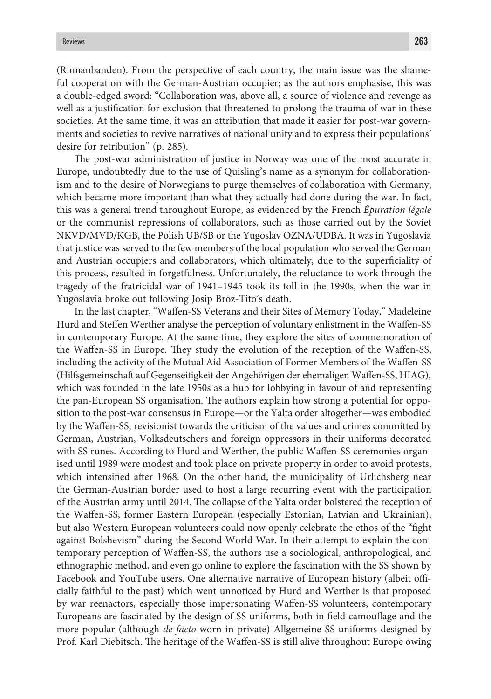(Rinnanbanden). From the perspective of each country, the main issue was the shameful cooperation with the German-Austrian occupier; as the authors emphasise, this was a double-edged sword: "Collaboration was, above all, a source of violence and revenge as well as a justification for exclusion that threatened to prolong the trauma of war in these societies. At the same time, it was an attribution that made it easier for post-war governments and societies to revive narratives of national unity and to express their populations' desire for retribution" (p. 285).

The post-war administration of justice in Norway was one of the most accurate in Europe, undoubtedly due to the use of Quisling's name as a synonym for collaborationism and to the desire of Norwegians to purge themselves of collaboration with Germany, which became more important than what they actually had done during the war. In fact, this was a general trend throughout Europe, as evidenced by the French *Épuration légale* or the communist repressions of collaborators, such as those carried out by the Soviet NKVD/MVD/KGB, the Polish UB/SB or the Yugoslav OZNA/UDBA. It was in Yugoslavia that justice was served to the few members of the local population who served the German and Austrian occupiers and collaborators, which ultimately, due to the superficiality of this process, resulted in forgetfulness. Unfortunately, the reluctance to work through the tragedy of the fratricidal war of 1941–1945 took its toll in the 1990s, when the war in Yugoslavia broke out following Josip Broz-Tito's death.

In the last chapter, "Waffen-SS Veterans and their Sites of Memory Today," Madeleine Hurd and Steffen Werther analyse the perception of voluntary enlistment in the Waffen-SS in contemporary Europe. At the same time, they explore the sites of commemoration of the Waffen-SS in Europe. They study the evolution of the reception of the Waffen-SS, including the activity of the Mutual Aid Association of Former Members of the Waffen-SS (Hilfsgemeinschaft auf Gegenseitigkeit der Angehörigen der ehemaligen Waffen-SS, HIAG), which was founded in the late 1950s as a hub for lobbying in favour of and representing the pan-European SS organisation. The authors explain how strong a potential for opposition to the post-war consensus in Europe—or the Yalta order altogether—was embodied by the Waffen-SS, revisionist towards the criticism of the values and crimes committed by German, Austrian, Volksdeutschers and foreign oppressors in their uniforms decorated with SS runes. According to Hurd and Werther, the public Waffen-SS ceremonies organised until 1989 were modest and took place on private property in order to avoid protests, which intensified after 1968. On the other hand, the municipality of Urlichsberg near the German-Austrian border used to host a large recurring event with the participation of the Austrian army until 2014. The collapse of the Yalta order bolstered the reception of the Waffen-SS; former Eastern European (especially Estonian, Latvian and Ukrainian), but also Western European volunteers could now openly celebrate the ethos of the "fight against Bolshevism" during the Second World War. In their attempt to explain the contemporary perception of Waffen-SS, the authors use a sociological, anthropological, and ethnographic method, and even go online to explore the fascination with the SS shown by Facebook and YouTube users. One alternative narrative of European history (albeit officially faithful to the past) which went unnoticed by Hurd and Werther is that proposed by war reenactors, especially those impersonating Waffen-SS volunteers; contemporary Europeans are fascinated by the design of SS uniforms, both in field camouflage and the more popular (although *de facto* worn in private) Allgemeine SS uniforms designed by Prof. Karl Diebitsch. The heritage of the Waffen-SS is still alive throughout Europe owing